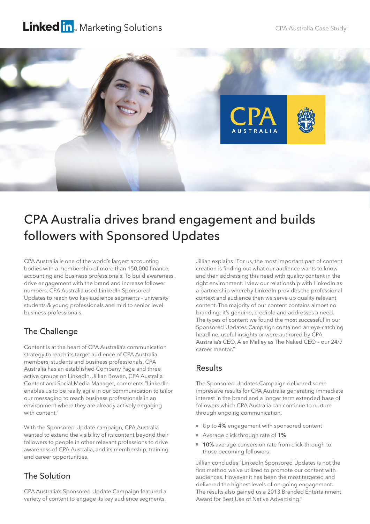## Linked in. Marketing Solutions



# CPA Australia drives brand engagement and builds followers with Sponsored Updates

CPA Australia is one of the world's largest accounting bodies with a membership of more than 150,000 finance, accounting and business professionals. To build awareness, drive engagement with the brand and increase follower numbers, CPA Australia used LinkedIn Sponsored Updates to reach two key audience segments - university students & young professionals and mid to senior level business professionals.

## The Challenge

Content is at the heart of CPA Australia's communication strategy to reach its target audience of CPA Australia members, students and business professionals. CPA Australia has an established Company Page and three active groups on LinkedIn. Jillian Bowen, CPA Australia Content and Social Media Manager, comments "LinkedIn enables us to be really agile in our communication to tailor our messaging to reach business professionals in an environment where they are already actively engaging with content."

With the Sponsored Update campaign, CPA Australia wanted to extend the visibility of its content beyond their followers to people in other relevant professions to drive awareness of CPA Australia, and its membership, training and career opportunities.

### The Solution

CPA Australia's Sponsored Update Campaign featured a variety of content to engage its key audience segments.

Jillian explains "For us, the most important part of content creation is finding out what our audience wants to know and then addressing this need with quality content in the right environment. I view our relationship with LinkedIn as a partnership whereby LinkedIn provides the professional context and audience then we serve up quality relevant content. The majority of our content contains almost no branding; it's genuine, credible and addresses a need. The types of content we found the most successful in our Sponsored Updates Campaign contained an eye-catching headline, useful insights or were authored by CPA Australia's CEO, Alex Malley as The Naked CEO – our 24/7 career mentor."

#### Results

The Sponsored Updates Campaign delivered some impressive results for CPA Australia generating immediate interest in the brand and a longer term extended base of followers which CPA Australia can continue to nurture through ongoing communication.

- Up to 4% engagement with sponsored content
- Average click through rate of 1%
- 10% average conversion rate from click-through to those becoming followers

Jillian concludes "LinkedIn Sponsored Updates is not the first method we've utilized to promote our content with audiences. However it has been the most targeted and delivered the highest levels of on-going engagement. The results also gained us a 2013 Branded Entertainment Award for Best Use of Native Advertising."